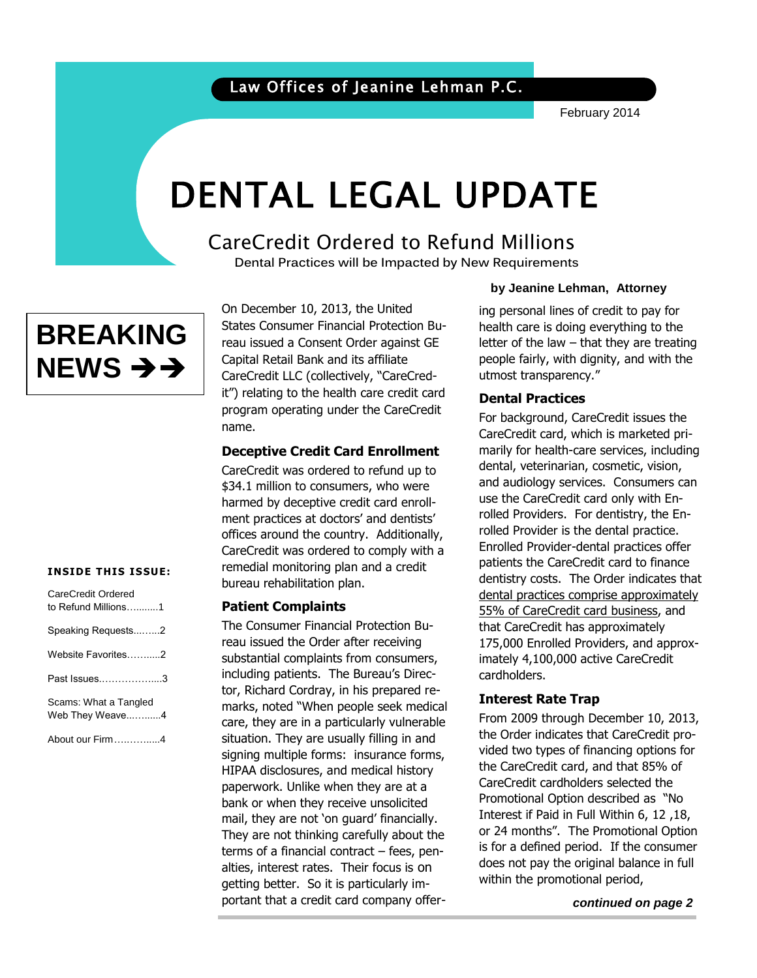February 2014

# DENTAL LEGAL UPDATE

# CareCredit Ordered to Refund Millions

 **Dental Practices will be Impacted by New Requirements**



On December 10, 2013, the United States Consumer Financial Protection Bureau issued a Consent Order against GE Capital Retail Bank and its affiliate CareCredit LLC (collectively, "CareCredit") relating to the health care credit card program operating under the CareCredit name.

## **Deceptive Credit Card Enrollment**

CareCredit was ordered to refund up to \$34.1 million to consumers, who were harmed by deceptive credit card enrollment practices at doctors' and dentists' offices around the country. Additionally, CareCredit was ordered to comply with a remedial monitoring plan and a credit bureau rehabilitation plan.

## **Patient Complaints**

The Consumer Financial Protection Bureau issued the Order after receiving substantial complaints from consumers, including patients. The Bureau's Director, Richard Cordray, in his prepared remarks, noted "When people seek medical care, they are in a particularly vulnerable situation. They are usually filling in and signing multiple forms: insurance forms, HIPAA disclosures, and medical history paperwork. Unlike when they are at a bank or when they receive unsolicited mail, they are not 'on guard' financially. They are not thinking carefully about the terms of a financial contract – fees, penalties, interest rates. Their focus is on getting better. So it is particularly important that a credit card company offer-

#### **by Jeanine Lehman, Attorney**

letter or the law – that they are treating<br>people fairly, with dignity, and with the utmost transparency."<br>Death Lehmatics of ing personal lines of credit to pay for health care is doing everything to the letter of the law  $-$  that they are treating

## **Dental Practices**

For background, CareCredit issues the CareCredit card, which is marketed primarily for health-care services, including dental, veterinarian, cosmetic, vision, and audiology services. Consumers can use the CareCredit card only with Enrolled Providers. For dentistry, the Enrolled Provider is the dental practice. Enrolled Provider-dental practices offer patients the CareCredit card to finance dentistry costs. The Order indicates that dental practices comprise approximately 55% of CareCredit card business, and that CareCredit has approximately 175,000 Enrolled Providers, and approximately 4,100,000 active CareCredit cardholders.

## **Interest Rate Trap**

From 2009 through December 10, 2013, the Order indicates that CareCredit provided two types of financing options for the CareCredit card, and that 85% of CareCredit cardholders selected the Promotional Option described as "No Interest if Paid in Full Within 6, 12 ,18, or 24 months". The Promotional Option is for a defined period. If the consumer does not pay the original balance in full within the promotional period,

*continued on page 2*

#### **INSIDE THIS ISSUE:**

| CareCredit Ordered<br>to Refund Millions1 |  |
|-------------------------------------------|--|
| Speaking Requests2                        |  |
| Website Favorites2                        |  |
| Past Issues3                              |  |
| Scams: What a Tangled<br>Web They Weave4  |  |
| About our Firm4                           |  |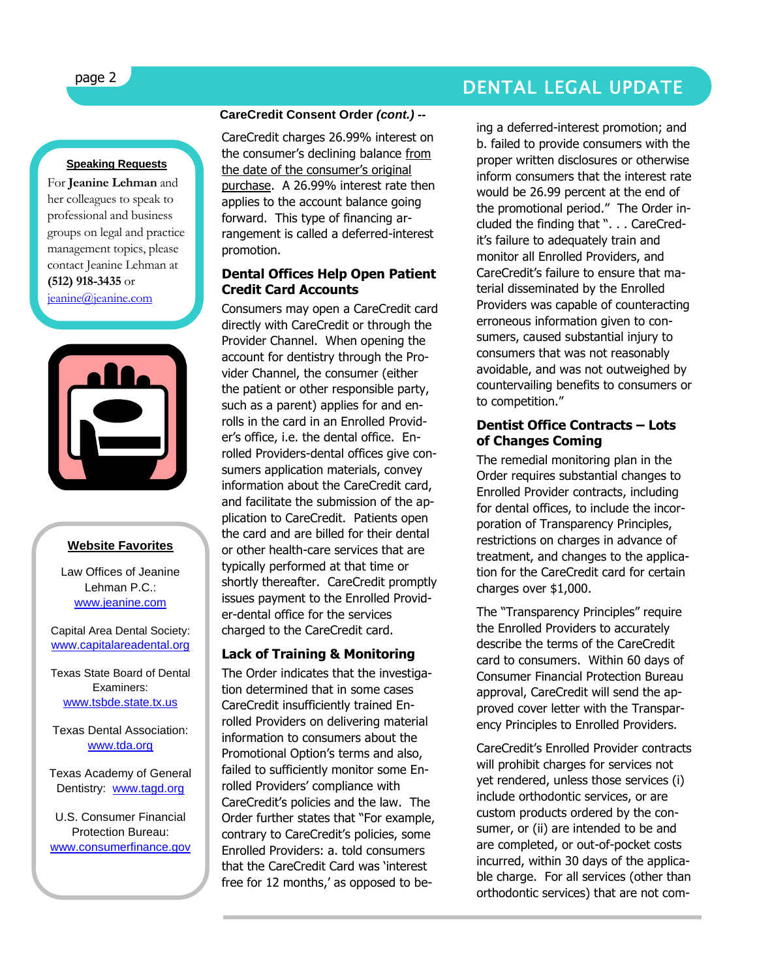# page 2 DENTAL LEGAL UPDATE

#### **Speaking Requests**

For **Jeanine Lehman** and her colleagues to speak to professional and business groups on legal and practice management topics, please contact Jeanine Lehman at **(512) 918-3435** or [jeanine@jeanine.com](mailto:jeanine@jeanine.com)



#### **Website Favorites**

Law Offices of Jeanine Lehman P.C.: [www.jeanine.com](http://www.jeanine.com/)

Capital Area Dental Society: [www.capitalareadental.org](http://www.capitalareadental.org/)

Texas State Board of Dental Examiners: [www.tsbde.state.tx.us](http://www.tsbde.state.tx.us/)

Texas Dental Association: [www.tda.org](http://www.tda.org/)

Texas Academy of General Dentistry: [www.tagd.org](http://www.tagd.org/)

U.S. Consumer Financial Protection Bureau: [www.consumerfinance.gov](http://www.consumerfinance.gov/)

#### **CareCredit Consent Order** *(cont.) --*

CareCredit charges 26.99% interest on the consumer's declining balance from the date of the consumer's original purchase. A 26.99% interest rate then applies to the account balance going forward. This type of financing arrangement is called a deferred-interest promotion.

#### **Dental Offices Help Open Patient Credit Card Accounts**

Consumers may open a CareCredit card directly with CareCredit or through the Provider Channel. When opening the account for dentistry through the Provider Channel, the consumer (either the patient or other responsible party, such as a parent) applies for and enrolls in the card in an Enrolled Provider's office, i.e. the dental office. Enrolled Providers-dental offices give consumers application materials, convey information about the CareCredit card, and facilitate the submission of the application to CareCredit. Patients open the card and are billed for their dental or other health-care services that are typically performed at that time or shortly thereafter. CareCredit promptly issues payment to the Enrolled Provider-dental office for the services charged to the CareCredit card.

#### **Lack of Training & Monitoring**

The Order indicates that the investigation determined that in some cases CareCredit insufficiently trained Enrolled Providers on delivering material information to consumers about the Promotional Option's terms and also, failed to sufficiently monitor some Enrolled Providers' compliance with CareCredit's policies and the law. The Order further states that "For example, contrary to CareCredit's policies, some Enrolled Providers: a. told consumers that the CareCredit Card was 'interest free for 12 months,' as opposed to be-

ing a deferred-interest promotion; and b. failed to provide consumers with the proper written disclosures or otherwise inform consumers that the interest rate would be 26.99 percent at the end of the promotional period." The Order included the finding that ". . . CareCredit's failure to adequately train and monitor all Enrolled Providers, and CareCredit's failure to ensure that material disseminated by the Enrolled Providers was capable of counteracting erroneous information given to consumers, caused substantial injury to consumers that was not reasonably avoidable, and was not outweighed by countervailing benefits to consumers or to competition."

#### **Dentist Office Contracts – Lots of Changes Coming**

The remedial monitoring plan in the Order requires substantial changes to Enrolled Provider contracts, including for dental offices, to include the incorporation of Transparency Principles, restrictions on charges in advance of treatment, and changes to the application for the CareCredit card for certain charges over \$1,000.

The "Transparency Principles" require the Enrolled Providers to accurately describe the terms of the CareCredit card to consumers. Within 60 days of Consumer Financial Protection Bureau approval, CareCredit will send the approved cover letter with the Transparency Principles to Enrolled Providers.

CareCredit's Enrolled Provider contracts will prohibit charges for services not yet rendered, unless those services (i) include orthodontic services, or are custom products ordered by the consumer, or (ii) are intended to be and are completed, or out-of-pocket costs incurred, within 30 days of the applicable charge. For all services (other than orthodontic services) that are not com-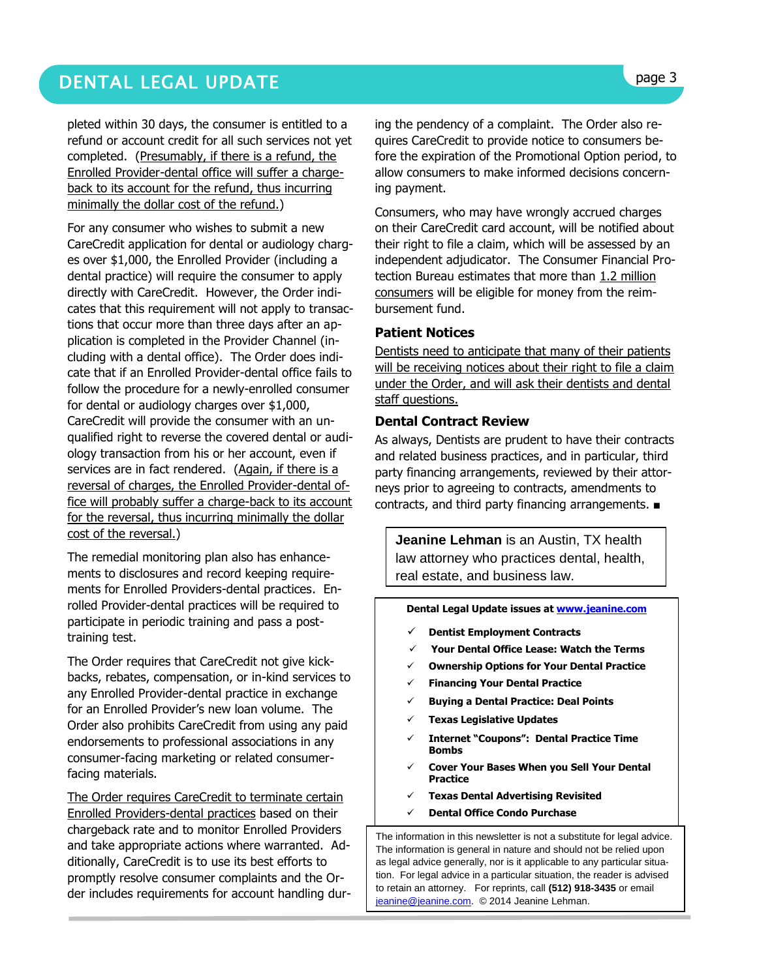# DENTAL LEGAL UPDATE **page 3**

pleted within 30 days, the consumer is entitled to a refund or account credit for all such services not yet completed. (Presumably, if there is a refund, the Enrolled Provider-dental office will suffer a chargeback to its account for the refund, thus incurring minimally the dollar cost of the refund.)

For any consumer who wishes to submit a new CareCredit application for dental or audiology charges over \$1,000, the Enrolled Provider (including a dental practice) will require the consumer to apply directly with CareCredit. However, the Order indicates that this requirement will not apply to transactions that occur more than three days after an application is completed in the Provider Channel (including with a dental office). The Order does indicate that if an Enrolled Provider-dental office fails to follow the procedure for a newly-enrolled consumer for dental or audiology charges over \$1,000, CareCredit will provide the consumer with an unqualified right to reverse the covered dental or audiology transaction from his or her account, even if services are in fact rendered. (Again, if there is a reversal of charges, the Enrolled Provider-dental office will probably suffer a charge-back to its account for the reversal, thus incurring minimally the dollar cost of the reversal.)

The remedial monitoring plan also has enhancements to disclosures and record keeping requirements for Enrolled Providers-dental practices. Enrolled Provider-dental practices will be required to participate in periodic training and pass a posttraining test.

The Order requires that CareCredit not give kickbacks, rebates, compensation, or in-kind services to any Enrolled Provider-dental practice in exchange for an Enrolled Provider's new loan volume. The Order also prohibits CareCredit from using any paid endorsements to professional associations in any consumer-facing marketing or related consumerfacing materials.

The Order requires CareCredit to terminate certain Enrolled Providers-dental practices based on their chargeback rate and to monitor Enrolled Providers and take appropriate actions where warranted. Additionally, CareCredit is to use its best efforts to promptly resolve consumer complaints and the Order includes requirements for account handling dur-

ing the pendency of a complaint. The Order also requires CareCredit to provide notice to consumers before the expiration of the Promotional Option period, to allow consumers to make informed decisions concerning payment.

Consumers, who may have wrongly accrued charges on their CareCredit card account, will be notified about their right to file a claim, which will be assessed by an independent adjudicator. The Consumer Financial Protection Bureau estimates that more than 1.2 million consumers will be eligible for money from the reimbursement fund.

#### **Patient Notices**

Dentists need to anticipate that many of their patients will be receiving notices about their right to file a claim under the Order, and will ask their dentists and dental staff questions.

#### **Dental Contract Review**

As always, Dentists are prudent to have their contracts and related business practices, and in particular, third party financing arrangements, reviewed by their attorneys prior to agreeing to contracts, amendments to contracts, and third party financing arrangements. ■

**Jeanine Lehman** is an Austin, TX health law attorney who practices dental, health, real estate, and business law.

**Dental Legal Update issues a[t www.jeanine.com](http://www.jeanine.com/)** 

- **Dentist Employment Contracts**
- **Your Dental Office Lease: Watch the Terms**
- **Ownership Options for Your Dental Practice**
- **Financing Your Dental Practice**
- **Buying a Dental Practice: Deal Points**
- **Texas Legislative Updates**
- **Internet "Coupons": Dental Practice Time Bombs**
- **Cover Your Bases When you Sell Your Dental Practice**
- **Texas Dental Advertising Revisited**
- **Dental Office Condo Purchase**

The information in this newsletter is not a substitute for legal advice. The information is general in nature and should not be relied upon as legal advice generally, nor is it applicable to any particular situation. For legal advice in a particular situation, the reader is advised to retain an attorney. For reprints, call **(512) 918-3435** or email [jeanine@jeanine.com.](mailto:jeanine@jeanine.com) © 2014 Jeanine Lehman.